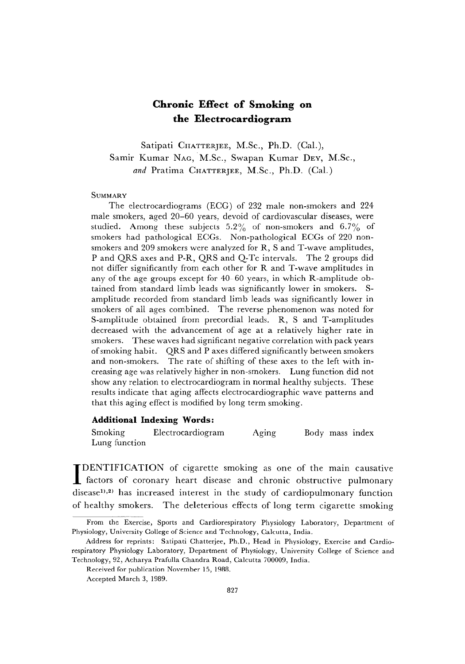# Chronic Effect of Smoking on the Electrocardiogram

Satipati CHATTERJEE, M.Sc., Ph.D. (Cal.), Samir Kumar NAG, M.Sc., Swapan Kumar DEY, M.Sc., and Pratima CHATTERJEE, M.Sc., Ph.D. (Cal.)

**SUMMARY** 

The electrocardiograms (ECG) of 232 male non-smokers and 224 male smokers, aged 20-60 years, devoid of cardiovascular diseases, were studied. Among these subjects 5.2% of non-smokers and 6.7% of smokers had pathological ECGs. Non-pathological ECGs of 220 nonsmokers and 209 smokers were analyzed for R, S and T-wave amplitudes, P and QRS axes and P-R, QRS and Q-Tc intervals. The 2 groups did not differ significantly from each other for R and T-wave amplitudes in any of the age groups except for 40-60 years, in which R-amplitude obtained from standard limb leads was significantly lower in smokers. Samplitude recorded from standard limb leads was significantly lower in smokers of all ages combined. The reverse phenomenon was noted for S-amplitude obtained from precordial leads. R, S and T-amplitudes decreased with the advancement of age at a relatively higher rate in smokers. These waves had significant negative correlation with pack years of smoking habit. QRS and P axes differed significantly between smokers and non-smokers. The rate of shifting of these axes to the left with increasing age was relatively higher in non-smokers. Lung function did not show any relation to electrocardiogram in normal healthy subjects. These results indicate that aging affects electrocardiographic wave patterns and that this aging effect is modified by long term smoking.

### Additional Indexing Words:

Smoking Electrocardiogram Aging Body mass index Lung function

DENTIFICATION of cigarette smoking as one of the main causating factors of coronary heart disease and chronic obstructive pulmonary DENTIFICATION of cigarette smoking as one of the main causative disease<sup>1),2)</sup> has increased interest in the study of cardiopulmonary function of healthy smokers. The deleterious effects of long term cigarette smoking

From the Exercise, Sports and Cardiorespiratory Physiology Laboratory, Department of Physiology, University College of Science and Technology, Calcutta, India.

Address for reprints: Satipati Chatterjee, Ph.D., Head in Physiology, Exercise and Cardiorespiratory Physiology Laboratory, Department of Physiology, University College of Science and Technology, 92, Acharya Prafulla Chandra Road, Calcutta 700009, India.

Received for publication November 15, 1988.

Accepted March 3, 1989.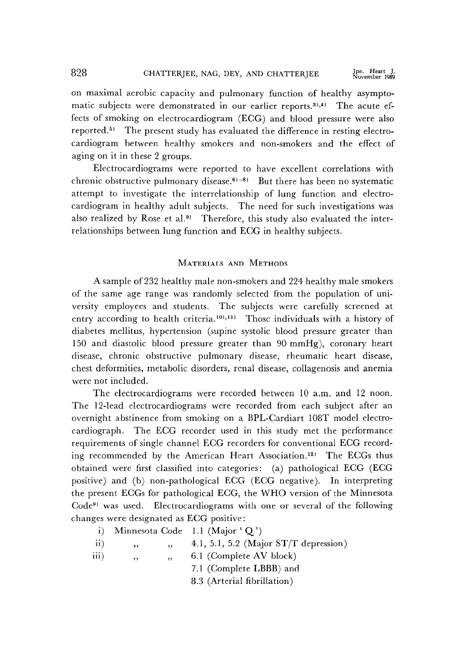on maximal aerobic capacity and pulmonary function of healthy asymptomatic subjects were demonstrated in our earlier reports.3),4) The acute effects of smoking on electrocardiogram (ECG) and blood pressure were also reported.5) The present study has evaluated the difference in resting electrocardiogram between healthy smokers and non-smokers and the effect of aging on it in these 2 groups.

Electrocardiograms were reported to have excellent correlations with chronic obstructive pulmonary disease.<sup>6)-8)</sup> But there has been no systematic attempt to investigate the interrelationship of lung function and electrocardiogram in healthy adult subjects. The need for such investigations was also realized by Rose et al.<sup>9)</sup> Therefore, this study also evaluated the interrelationships between lung function and ECG in healthy subjects.

## MATERIALS AND METHODS

A sample of 232 healthy male non-smokers and 224 healthy male smokers of the same age range was randomly selected from the population of university employees and students. The subjects were carefully screened at entry according to health criteria.<sup>10),11)</sup> Those individuals with a history of diabetes mellitus, hypertension (supine systolic blood pressure greater than 150 and diastolic blood pressure greater than 90mmHg), coronary heart disease, chronic obstructive pulmonary disease, rheumatic heart disease, chest deformities, metabolic disorders, renal disease, collagenosis and anemia were not included.

The electrocardiograms were recorded between 10 a.m. and 12 noon. The 12-lead electrocardiograms were recorded from each subject after an overnight abstinence from smoking on a BPL-Cardiart 108T model electrocardiograph. The ECG recorder used in this study met the performance requirements of single channel ECG recorders for conventional ECG recording recommended by the American Heart Association.12) The ECGs thus obtained were first classified into categories: (a) pathological ECG (ECG positive) and (b) non-pathological ECG (ECG negative). In interpreting the present ECGs for pathological ECG, the WHO version of the Minnesota Code9) was used. Electrocardiograms with one or several of the following changes were designated as ECG positive:

| i) Minnesota Code 1.1 (Major 'Q') |  |  |
|-----------------------------------|--|--|
|                                   |  |  |

| ii) |  |  | 4.1, 5.1, 5.2 (Major $ST/T$ depression) |  |
|-----|--|--|-----------------------------------------|--|
|-----|--|--|-----------------------------------------|--|

iii) " " " , " 6.1 (Complete AV block)

7.1 (Complete LBBB) and

8.3 (Arterial fibrillation)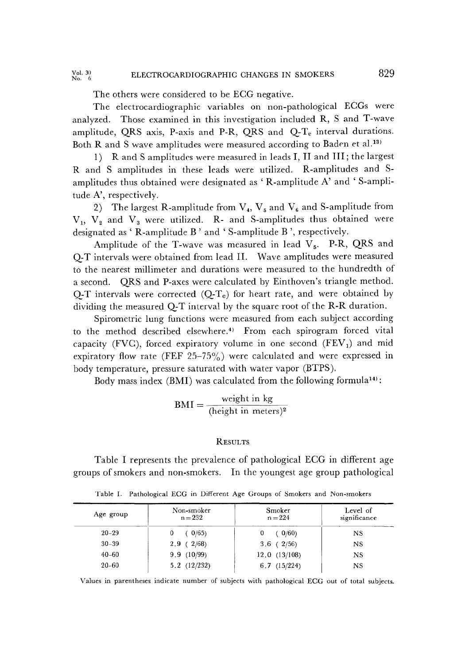#### Vol.  $30$ <br>No.  $6$ ELECTROCARDIOGRAPHIC CHANGES IN SMOKERS 829

The others were considered to be ECG negative.

The electrocardiographic variables on non-pathological ECGs were analyzed. Those examined in this investigation included R, S and T-wave amplitude, QRS axis, P-axis and P-R, QRS and  $Q-T_c$  interval durations. Both R and S wave amplitudes were measured according to Baden et al.13)

1) R and S amplitudes were measured in leads I, II and III; the largest R and S amplitudes in these leads were utilized. R-amplitudes and Samplitudes thus obtained were designated as 'R-amplitude A' and 'S-amplitude A', respectively.

2) The largest R-amplitude from  $V_4$ ,  $V_5$  and  $V_6$  and S-amplitude from  $V_1$ ,  $V_2$  and  $V_3$  were utilized. R- and S-amplitudes thus obtained were designated as 'R-amplitude B' and 'S-amplitude B', respectively.

Amplitude of the T-wave was measured in lead  $V_5$ . P-R, QRS and Q-T intervals were obtained from lead II. Wave amplitudes were measured to the nearest millimeter and durations were measured to the hundredth of a second. QRS and P-axes were calculated by Einthoven's triangle method. Q-T intervals were corrected  $(Q-T_c)$  for heart rate, and were obtained by dividing the measured Q-T interval by the square root of the R-R duration.

Spirometric lung functions were measured from each subject according to the method described elsewhere.4) From each spirogram forced vital capacity (FVC), forced expiratory volume in one second  $(FEV<sub>1</sub>)$  and mid expiratory flow rate (FEF 25-75%) were calculated and were expressed in body temperature, pressure saturated with water vapor (BTPS).

Body mass index (BMI) was calculated from the following formula14):

$$
BMI = \frac{weight \text{ in } kg}{(\text{height in meters})^2}
$$

### **RESULTS**

Table I represents the prevalence of pathological ECG in different age groups of smokers and non-smokers. In the youngest age group pathological

| Age group | Non-smoker<br>$n = 232$ | Smoker<br>$n = 224$ | Level of<br>significance |
|-----------|-------------------------|---------------------|--------------------------|
| $20 - 29$ | 0/65<br>0               | 0/60<br>0           | <b>NS</b>                |
| $30 - 39$ | 2.9(2/68)               | $3.6$ ( $2/56$ )    | <b>NS</b>                |
| $40 - 60$ | 9.9(10/99)              | 12.0(13/108)        | NS                       |
| $20 - 60$ | 5.2(12/232)             | $6,7$ $(15/224)$    | <b>NS</b>                |

Table I. Pathological ECG in Different Age Groups of Smokers and Non-smokers

Values in parentheses indicate number of subjects with pathological ECG out of total subjects.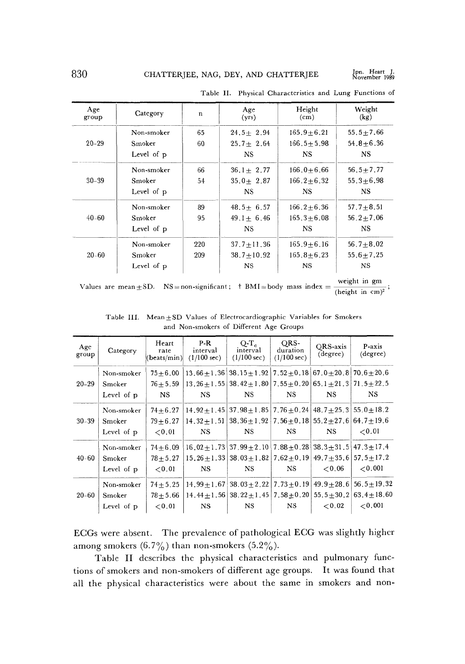Jpn. Heart J.<br>November 1989

| Age<br>group | Category   | n   | Age<br>(yrs)    | Height<br>(c <sub>m</sub> ) | Weight<br>(kg)  |
|--------------|------------|-----|-----------------|-----------------------------|-----------------|
|              | Non-smoker | 65  | $24.5 + 2.94$   | $165, 9 + 6, 21$            | $55.5 + 7.66$   |
| $20 - 29$    | Smoker     | 60  | $25.7 \pm 2.64$ | $166.5 \pm 5.98$            | $54.8 + 6.36$   |
|              | Level of p |     | NS.             | <b>NS</b>                   | NS.             |
|              | Non-smoker | 66  | $36.1 + 2.77$   | $166.0 + 6.66$              | $56.5 + 7.77$   |
| $30 - 39$    | Smoker     | 54  | $35.0 + 2.87$   | $166.2 + 6.32$              | $55.3 + 6.98$   |
|              | Level of p |     | NS.             | NS.                         | <b>NS</b>       |
|              | Non-smoker | 89  | $48.5 + 6.57$   | $166.2 + 6.36$              | $57.7 + 8.51$   |
| $40 - 60$    | Smoker     | 95  | $49.1 + 6.46$   | $165, 3 + 6, 08$            | $56, 2 + 7.06$  |
|              | Level of p |     | NS.             | NS.                         | <b>NS</b>       |
|              | Non-smoker | 220 | $37,7 + 11,36$  | $165, 9 + 6, 16$            | 56.7 $\pm$ 8.02 |
| $20 - 60$    | Smoker     | 209 | $38,7+10,92$    | $165.8 + 6.23$              | $55.6 + 7.25$   |
|              | Level of p |     | <b>NS</b>       | NS.                         | NS              |

Table II. Physical Characteristics and Lung Functions of

Values are mean  $\pm$  SD. NS = non-significant;  $\pm$  BMI = body mass index =  $\frac{g}{(\text{height in cm})^2}$ 

| Age<br>group | Category                           | Heart<br>rate<br>(beats/min)            | P-R<br>interval<br>$(1/100 \text{ sec})$ | $O-T_c$<br>interval<br>$(1/100 \text{ sec})$                                                                                                                            | ORS-<br>duration<br>$(1/100 \text{ sec})$ | ORS-axis<br>(degree)       | P-axis<br>(degree)                                               |
|--------------|------------------------------------|-----------------------------------------|------------------------------------------|-------------------------------------------------------------------------------------------------------------------------------------------------------------------------|-------------------------------------------|----------------------------|------------------------------------------------------------------|
| $20 - 29$    | Non-smoker<br>Smoker<br>Level of p | $75 + 6.00$<br>$76 + 5.59$<br>NS.       | NS.                                      | $13.66 + 1.36$ $38.15 + 1.92$ $7.52 + 0.18$ 67.0 + 20.8 70.6 + 20.6<br>$13.26 + 1.55$   $38.42 + 1.80$   $7.55 + 0.20$   $65.1 + 21.3$   $71.5 + 22.5$<br><b>NS</b>     | NS                                        | NS.                        | NS.                                                              |
| $30 - 39$    | Non-smoker<br>Smoker<br>Level of p | $74 + 6.27$<br>$79 + 6.27$<br>${<}0.01$ | NS.                                      | $14.92 \pm 1.45$ 37.98 $\pm 1.85$ 7.76 $\pm 0.24$ 48.7 $\pm 25.3$ 55.0 $\pm 18.2$<br>$14.32+1.51$   $38.36+1.92$   $7.56+0.18$   $55.2+27.6$   $64.7+19.6$<br><b>NS</b> | NS.                                       | NS.                        | ${<}0.01$                                                        |
| $40 - 60$    | Non-smoker<br>Smoker<br>Level of p | $74 + 6.09$<br>$78 + 5.27$<br>${<}0.01$ | NS.                                      | $16.02+1.73$ 37.99 $\pm 2.10$ 7.88 $\pm 0.28$ 38.3 $\pm 31.5$ 47.3 $\pm 17.4$<br>$15.26 + 1.33$ 38 03 + 1.82 7.62 + 0.19<br><b>NS</b>                                   | NS.                                       | < 0.06                     | $49.7+35.6 57.5+17.2$<br>${<}0.001$                              |
| $20 - 60$    | Non-smoker<br>Smoker<br>Level of p | $74 + 5.25$<br>$78 + 5.66$<br>${<}0.01$ | <b>NS</b>                                | $14.99 + 1.67$ 38.03 + 2.22 7.73 + 0.19<br>$14.44+1.56$ 38.22 $\pm$ 1.45   7.58 $\pm$ 0.20<br><b>NS</b>                                                                 | NS.                                       | $55.5 + 30.2$<br>${<}0.02$ | $49.9 \pm 28.6$ 56.5 $\pm$ 19.32<br>$63.4 + 18.60$<br>${<}0.001$ |

Table III. Mean $\pm$ SD Values of Electrocardiographic Variables for Smokers and Non-smokers of Different Age Groups

ECGs were absent. The prevalence of pathological ECG was slightly higher among smokers  $(6.7\%)$  than non-smokers  $(5.2\%)$ .

Table II describes the physical characteristics and pulmonary functions of smokers and non-smokers of different age groups. It was found that all the physical characteristics were about the same in smokers and non-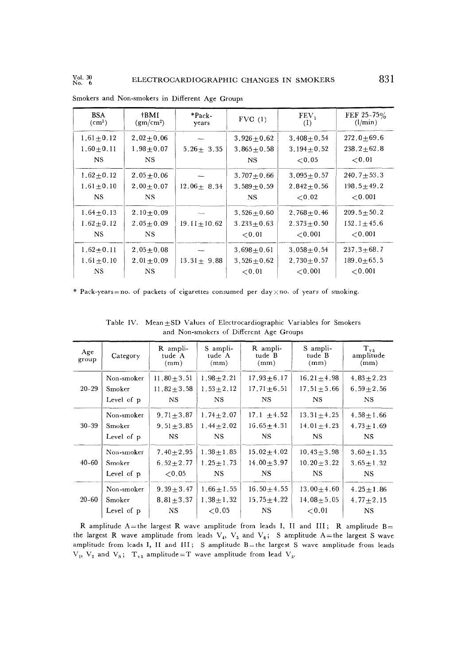| <b>BSA</b><br>$\rm (cm^2)$ | †BMI<br>$(gm/cm^2)$ | $*Pack.$<br>years | FVC(1)           | FEV <sub>1</sub><br>(1) | FEF 25-75%<br>(l/min) |
|----------------------------|---------------------|-------------------|------------------|-------------------------|-----------------------|
| $1.61 + 0.12$              | $2.02 + 0.06$       |                   | $3,926 + 0.62$   | $3,408 + 0.54$          | $272.0 + 69.6$        |
| $1.60 + 0.11$              | $1.98 + 0.07$       | $5.26 + 3.35$     | $3.865 + 0.58$   | $3.194 + 0.52$          | $238.2 + 62.8$        |
| <b>NS</b>                  | NS.                 |                   | NS               | ${<}0.05$               | ${<}0.01$             |
| $1,62+0.12$                | $2.05 + 0.06$       |                   | $3.707 + 0.66$   | $3.095 + 0.57$          | $240.7 \pm 53.3$      |
| $1.61 + 0.10$              | $2.00 + 0.07$       | $12.06 + 8.34$    | $3,589 + 0.59$   | $2.842 + 0.56$          | $198.5 \pm 49.2$      |
| $_{\rm NS}$                | NS.                 |                   | NS.              | ${<}0.02$               | < 0.001               |
| $1.64 \pm 0.13$            | $2.10 \pm 0.09$     |                   | $3,526 + 0.60$   | $2.768 + 0.46$          | $209.5 + 50.2$        |
| $1.62 \pm 0.12$            | $2.05 \pm 0.09$     | $19.11 + 10.62$   | $3.233 + 0.63$   | $2.373 + 0.50$          | $152.1 + 45.6$        |
| <b>NS</b>                  | NS.                 |                   | ${<}0.01$        | ${<}0.001$              | < 0.001               |
| $1,62+0.11$                | $2.05 + 0.08$       |                   | $3.698 + 0.61$   | $3.058 + 0.54$          | $237.3 + 68.7$        |
| $1.61 \pm 0.10$            | $2.01 \pm 0.09$     | $13.31 \pm 9.88$  | $3,526 \pm 0.62$ | $2,730+0.57$            | $189.0 + 65.5$        |
| NS.                        | NS.                 |                   | ${<}0.01$        | ${<}0.001$              | ${<}0.001$            |

Smokers and Non-smokers in Different Age Groups

\* Pack-years=no. of packets of cigarettes consumed per day  $\times$  no. of years of smoking.

| Age<br>group | Category   | R ampli-<br>tude A<br>(mm) | S ampli-<br>tude A<br>(mm) | R ampli-<br>tude B<br>(mm) | S ampli-<br>tude B<br>(mm) | $\rm T_{v5}$<br>amplitude<br>(mm) |
|--------------|------------|----------------------------|----------------------------|----------------------------|----------------------------|-----------------------------------|
| $20 - 29$    | Non-smoker | 11.80 $\pm$ 3.51           | $1,98 + 2,21$              | $17.93 + 6.17$             | $16.21 \pm 4.98$           | $4.83 \pm 2.23$                   |
|              | Smoker     | 11.82 $\pm$ 3.58           | $1.53 + 2.12$              | $17.71 \pm 6.51$           | $17.51 \pm 5.66$           | $6.59 + 2.56$                     |
|              | Level of p | NS                         | <b>NS</b>                  | <b>NS</b>                  | <b>NS</b>                  | NS.                               |
| $30 - 39$    | Non-smoker | $9.71 + 3.87$              | $1.74 \pm 2.07$            | 17.1 $\pm 4.52$            | $13.31 \pm 4.25$           | $4.58 \pm 1.66$                   |
|              | Smoker     | $9.51 + 3.85$              | $1.44 + 2.02$              | $16.65 + 4.31$             | $14.01 + 4.23$             | $4.73 + 1.69$                     |
|              | Level of p | NS.                        | <b>NS</b>                  | NS.                        | NS.                        | NS.                               |
| $40 - 60$    | Non-smoker | $7.40 + 2.95$              | $1.38 + 1.85$              | $15.02 + 4.02$             | $10, 43 + 3, 98$           | $3.60 + 1.35$                     |
|              | Smoker     | 6.52 $\pm$ 2.77            | $1.25 \pm 1.73$            | $14.00 \pm 3.97$           | $10.20 \pm 3.22$           | $3.65 \pm 1.32$                   |
|              | Level of p | ${<}0.05$                  | <b>NS</b>                  | NS.                        | NS.                        | NS.                               |
| $20 - 60$    | Non-smoker | $9.39 \pm 3.47$            | $1.66 \pm 1.55$            | $16.50 + 4.55$             | 13.00 $\pm$ 4.60           | $4.25 \pm 1.86$                   |
|              | Smoker     | $8.81 + 3.37$              | $1.38 + 1.32$              | $15.75 \pm 4.22$           | $14.08 + 5.05$             | 4.77 $\pm$ 2.15                   |
|              | Level of p | NS.                        | ${<}0.05$                  | NS.                        | ${<}0.01$                  | <b>NS</b>                         |

Table IV. Mean + SD Values of Electrocardiographic Variables for Smokers and Non-smokers of Different Age Groups

R amplitude A=the largest R wave amplitude from leads I, II and III; R amplitude  $B=$ the largest R wave amplitude from leads  $V_4$ ,  $V_5$  and  $V_6$ ; S amplitude A=the largest S wave amplitude from leads I, II and III; S amplitude  $B$ =the largest S wave amplitude from leads  $V_1$ ,  $V_2$  and  $V_3$ ;  $T_{\nu 5}$  amplitude=T wave amplitude from lead  $V_5$ .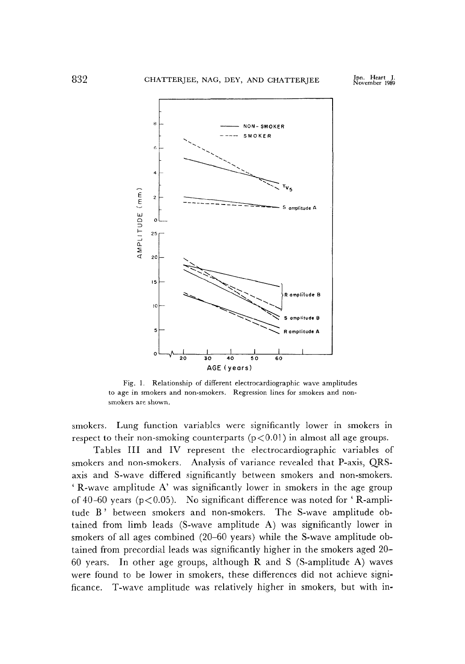

Fig.1. Relationship of different electrocardiographic wave amplitudes to age in smokers and non-smokers. Regression lines for smokers and nonsmokers are shown.

smokers. Lung function variables were significantly lower in smokers in respect to their non-smoking counterparts  $(p<0.01)$  in almost all age groups.

Tables III and IV represent the electrocardiographic variables of smokers and non-smokers. Analysis of variance revealed that P-axis, QRSaxis and S-wave differed significantly between smokers and non-smokers. ' R-wave amplitude A' was significantly lower in smokers in the age group of 40-60 years ( $p < 0.05$ ). No significant difference was noted for 'R-amplitude B' between smokers and non-smokers. The S-wave amplitude obtained from limb leads (S-wave amplitude A) was significantly lower in smokers of all ages combined (20-60 years) while the S-wave amplitude obtained from precordial leads was significantly higher in the smokers aged 20- 60 years. In other age groups, although R and S (S-amplitude A) waves were found to be lower in smokers, these differences did not achieve significance. T-wave amplitude was relatively higher in smokers, but with in-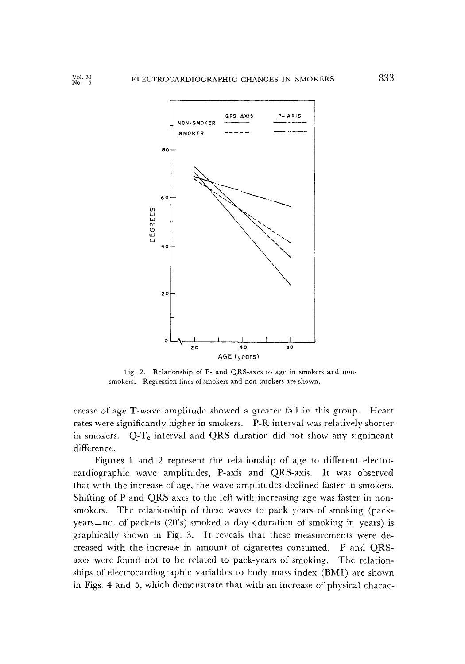

Fig.2. Relationship of P- and QRS-axes to age in smokers and nonsmokers. Regression lines of smokers and non-smokers are shown.

crease of age T-wave amplitude showed a greater fall in this group. Heart rates were significantly higher in smokers. P-R interval was relatively shorter in smokers.  $Q-T_c$  interval and  $QRS$  duration did not show any significant difference.

Figures 1 and 2 represent the relationship of age to different electrocardiographic wave amplitudes, P-axis and QRS-axis. It was observed that with the increase of age, the wave amplitudes declined faster in smokers. Shifting of P and QRS axes to the left with increasing age was faster in nonsmokers. The relationship of these waves to pack years of smoking (packyears=no. of packets (20's) smoked a day  $\times$  duration of smoking in years) is graphically shown in Fig.3. It reveals that these measurements were decreased with the increase in amount of cigarettes consumed. P and QRSaxes were found not to be related to pack-years of smoking. The relationships of electrocardiographic variables to body mass index (BMI) are shown in Figs.4 and 5, which demonstrate that with an increase of physical charac-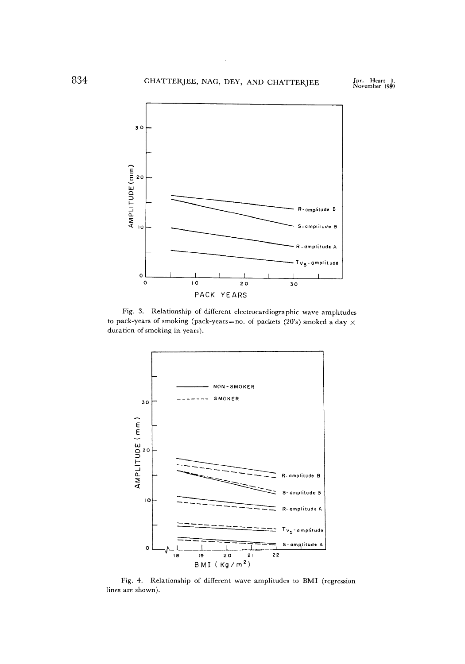

Fig.3. Relationship of different electrocardiographic wave amplitudes to pack-years of smoking (pack-years=no. of packets (20's) smoked a day  $\times$ duration of smoking in years).



Fig.4. Relationship of different wave amplitudes to BMI (regression lines are shown).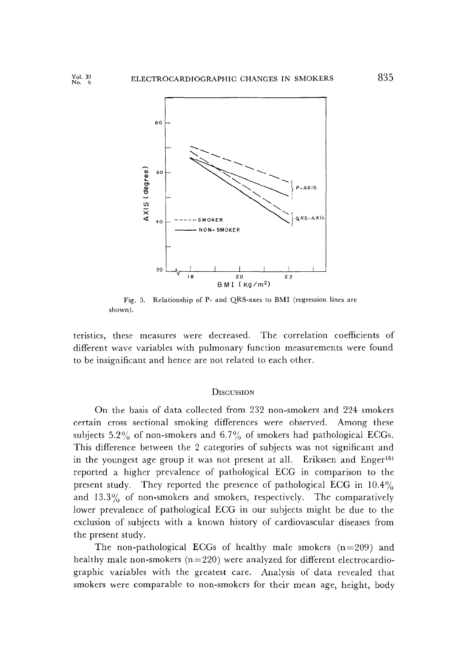

Fig.5. Relationship of P- and QRS-axes to BMI (regression lines are shown).

teristics, these measures were decreased. The correlation coefficients of different wave variables with pulmonary function measurements were found to be insignificant and hence are not related to each other.

#### **DISCUSSION**

On the basis of data collected from 232 non-smokers and 224 smokers certain cross sectional smoking differences were observed. Among these subjects 5.2% of non-smokers and  $6.7\%$  of smokers had pathological ECGs. This difference between the 2 categories of subjects was not significant and in the youngest age group it was not present at all. Erikssen and Enger<sup>15)</sup> reported a higher prevalence of pathological ECG in comparison to the present study. They reported the presence of pathological ECG in 10.4% and  $13.3\%$  of non-smokers and smokers, respectively. The comparatively lower prevalence of pathological ECG in our subjects might be due to the exclusion of subjects with a known history of cardiovascular diseases from the present study.

The non-pathological ECGs of healthy male smokers  $(n=209)$  and healthy male non-smokers  $(n=220)$  were analyzed for different electrocardiographic variables with the greatest care. Analysis of data revealed that smokers were comparable to non-smokers for their mean age, height, body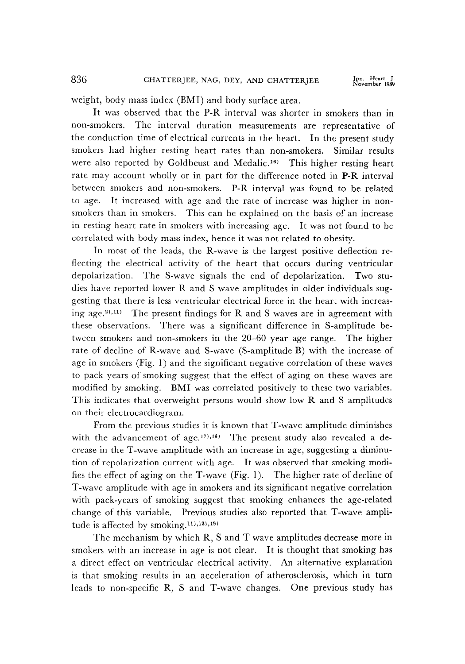weight, body mass index (BMI) and body surface area.

It was observed that the P-R interval was shorter in smokers than in non-smokers. The interval duration measurements are representative of the conduction time of electrical currents in the heart. In the present study smokers had higher resting heart rates than non-smokers. Similar results were also reported by Goldbeust and Medalic.<sup>16)</sup> This higher resting heart rate may account wholly or in part for the difference noted in P-R interval between smokers and non-smokers. P-R interval was found to be related to age. It increased with age and the rate of increase was higher in nonsmokers than in smokers. This can be explained on the basis of an increase in resting heart rate in smokers with increasing age. It was not found to be correlated with body mass index, hence it was not related to obesity.

In most of the leads, the R-wave is the largest positive deflection reflecting the electrical activity of the heart that occurs during ventricular depolarization. The S-wave signals the end of depolarization. Two studies have reported lower R and S wave amplitudes in older individuals suggesting that there is less ventricular electrical force in the heart with increasing age.<sup>2),11)</sup> The present findings for R and S waves are in agreement with these observations. There was a significant difference in S-amplitude between smokers and non-smokers in the 20-60 year age range. The higher rate of decline of R-wave and S-wave (S-amplitude B) with the increase of age in smokers (Fig.1) and the significant negative correlation of these waves to pack years of smoking suggest that the effect of aging on these waves are modified by smoking. BMI was correlated positively to these two variables. This indicates that overweight persons would show low R and S amplitudes on their electrocardiogram.

From the previous studies it is known that T-wave amplitude diminishes with the advancement of age.<sup>17),18)</sup> The present study also revealed a decrease in the T-wave amplitude with an increase in age, suggesting a diminution of repolarization current with age. It was observed that smoking modifies the effect of aging on the T-wave (Fig.1). The higher rate of decline of T-wave amplitude with age in smokers and its significant negative correlation with pack-years of smoking suggest that smoking enhances the age-related change of this variable. Previous studies also reported that T-wave amplitude is affected by smoking.11),13),19)

The mechanism by which R, S and T wave amplitudes decrease more in smokers with an increase in age is not clear. It is thought that smoking has a direct effect on ventricular electrical activity. An alternative explanation is that smoking results in an acceleration of atherosclerosis, which in turn leads to non-specific R, S and T-wave changes. One previous study has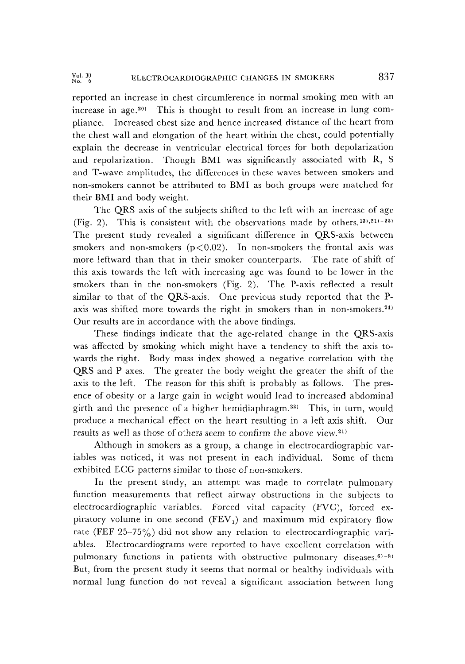reported an increase in chest circumference in normal smoking men with an increase in age.20) This is thought to result from an increase in lung compliance. Increased chest size and hence increased distance of the heart from the chest wall and elongation of the heart within the chest, could potentially explain the decrease in ventricular electrical forces for both depolarization and repolarization. Though BMI was significantly associated with R, S and T-wave amplitudes, the differences in these waves between smokers and non-smokers cannot be attributed to BMI as both groups were matched for their BMI and body weight.

The QRS axis of the subjects shifted to the left with an increase of age (Fig. 2). This is consistent with the observations made by others.<sup>13),21)-23)</sup> The present study revealed a significant difference in QRS-axis between smokers and non-smokers  $(p<0.02)$ . In non-smokers the frontal axis was more leftward than that in their smoker counterparts. The rate of shift of this axis towards the left with increasing age was found to be lower in the smokers than in the non-smokers (Fig.2). The P-axis reflected a result similar to that of the QRS-axis. One previous study reported that the Paxis was shifted more towards the right in smokers than in non-smokers.<sup>24)</sup> Our results are in accordance with the above findings.

These findings indicate that the age-related change in the QRS-axis was affected by smoking which might have a tendency to shift the axis towards the right. Body mass index showed a negative correlation with the QRS and P axes. The greater the body weight the greater the shift of the axis to the left. The reason for this shift is probably as follows. The presence of obesity or a large gain in weight would lead to increased abdominal girth and the presence of a higher hemidiaphragm.22) This, in turn, would produce a mechanical effect on the heart resulting in a left axis shift. Our results as well as those of others seem to confirm the above view.21)

Although in smokers as a group, a change in electrocardiographic variables was noticed, it was not present in each individual. Some of them exhibited ECG patterns similar to those of non-smokers.

In the present study, an attempt was made to correlate pulmonary function measurements that reflect airway obstructions in the subjects to electrocardiographic variables. Forced vital capacity (FVC), forced expiratory volume in one second  $(FEV_1)$  and maximum mid expiratory flow rate (FEF 25-75%) did not show any relation to electrocardiographic variables. Electrocardiograms were reported to have excellent correlation with pulmonary functions in patients with obstructive pulmonary diseases.<sup>6)-8)</sup> But, from the present study it seems that normal or healthy individuals with normal lung function do not reveal a significant association between lung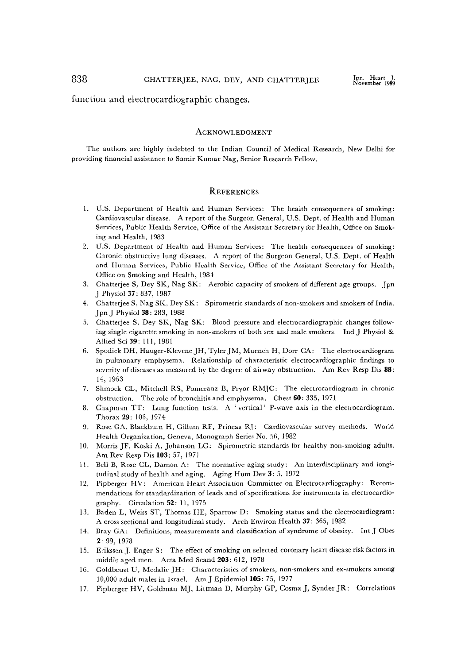function and electrocardiographic changes.

#### **ACKNOWLEDGMENT**

The authors arc highly indebted to the Indian Council of Medical Research, New Delhi for providing financial assistance to Samir Kumar Nag, Senior Research Fellow.

#### **REFERENCES**

- 1. U.S. Department of Health and Human Services: The health consequences of smoking: Cardiovascular disease. A report of the Surgeon General, U.S. Dept. of Health and Human Services, Public Health Service, Office of the Assistant Secretary for Health, Office on Smoking and Health, 1983
- 2. U.S. Department of Health and Human Services: The health consequences of smoking: Chronic obstructive lung diseases. A report of the Surgeon General, U.S. Dept. of Health and Human Services, Public Health Service, Office of the Assistant Secretary for Health, Office on Smoking and Health, 1984
- 3. Chatterjee S, Dey SK, Nag SK: Aerobic capacity of smokers of different age groups. Jpn J Physiol 37: 837, 1987
- 4. Chatterjee S, Nag SK, Dey SK: Spirometric standards of non-smokers and smokers of India. Jpn J Physiol 38: 283, 1988
- 5. Chatterjee S, Dey SK, Nag SK: Blood pressure and electrocardiographic changes following single cigarette smoking in non-smokers of both sex and male smokers. Ind J Physiol & Allied Sci 39: 111, 1981
- 6. Spodick DH, Hauger-Klevene JH, Tyler JM, Muench H, Dorr CA: The electrocardiogram in pulmonary emphysema. Relationship of characteristic electrocardiographic findings to severity of diseases as measured by the degree of airway obstruction. Am Rev Resp Dis 88: 14, 1963
- 7. Shmock CL, Mitchell RS, Pomeranz B, Pryor RMJC: The electrocardiogram in chronic obstruction. The role of bronchitis and emphysema. Chest 60: 335, 1971
- 8. Chapman TT: Lung function tests. A 'vertical' P-wave axis in the electrocardiogram. Thorax 29: 106, 1974
- 9. Rose GA, Blackburn H, Gillum RF, Prineas RJ: Cardiovascular survey methods. World Health Organization, Geneva, Monograph Series No.56, 1982
- 10. Morris JF, Koski A, Johanson LC: Spirometric standards for healthy non-smoking adults. Am Rev Resp Dis 103: 57, 1971
- 11. Bell B, Rose CL, Damon A: The normative aging study: An interdisciplinary and longitudinal study of health and aging. Aging Hum Dev 3: 5, 1972
- 12. Pipberger HV: American Heart Association Committee on Electrocardiography: Recommendations for standardization of leads and of specifications for instruments in electrocardiography. Circulation 52: 11, 1975
- 13. Baden L, Weiss ST, Thomas HE, Sparrow D: Smoking status and the electrocardiogram: A cross sectional and longitudinal study. Arch Environ Health 37: 365, 1982
- 14. Bray GA: Definitions, measurements and classification of syndrome of obesity. Int J Obes 2: 99, 1978
- 15. Erikssen J, Enger S: The effect of smoking on selected coronary heart disease risk factors in middle aged men. Acta Med Scand 203: 612, 1978
- 16. Goldbeust U, Medalic JH: Characteristics of smokers, non-smokers and ex-smokers among 10,000 adult males in Israel. Am J Epidemiol 105: 75, 1977
- 17. Pipberger HV, Goldman MJ, Littman D, Murphy GP, Cosma J, Synder JR: Correlations